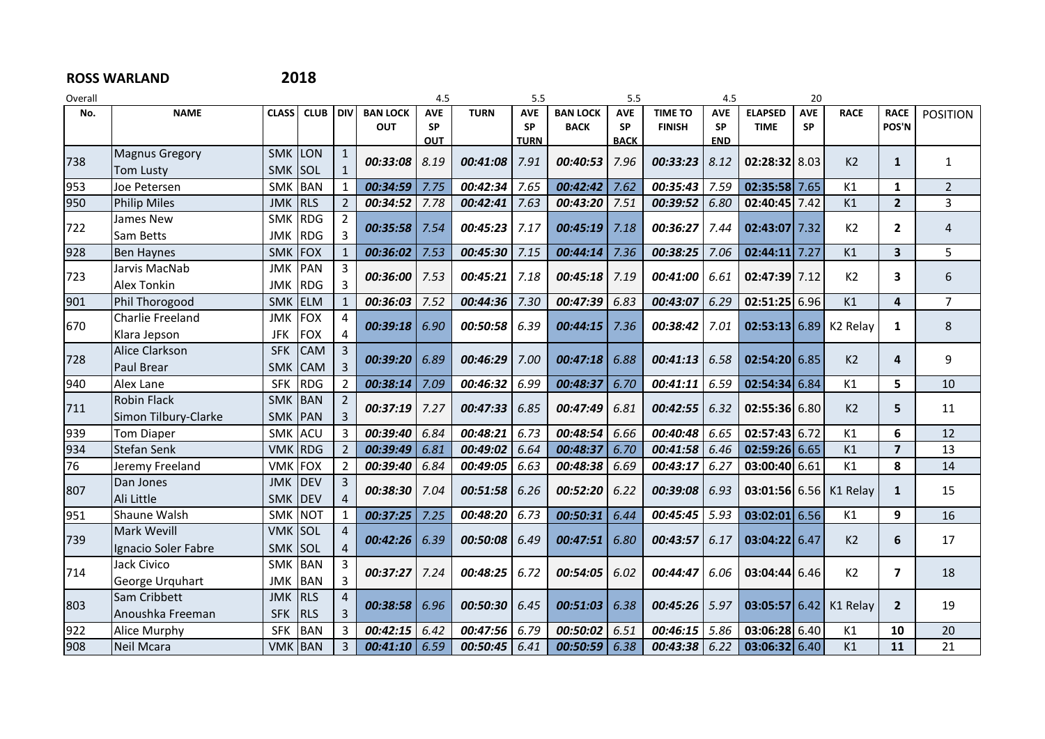## **ROSS WARLAND 2018**

| Overall |                       |                          |                          |                   |                 | 4.5        |             | 5.5         |                 | 5.5         |                 | 4.5        |                 | 20         |                      |                         |                 |
|---------|-----------------------|--------------------------|--------------------------|-------------------|-----------------|------------|-------------|-------------|-----------------|-------------|-----------------|------------|-----------------|------------|----------------------|-------------------------|-----------------|
| No.     | <b>NAME</b>           | <b>CLASS</b>             | <b>CLUB</b>              | <b>DIV</b>        | <b>BAN LOCK</b> | <b>AVE</b> | <b>TURN</b> | <b>AVE</b>  | <b>BAN LOCK</b> | <b>AVE</b>  | <b>TIME TO</b>  | <b>AVE</b> | <b>ELAPSED</b>  | <b>AVE</b> | <b>RACE</b>          | <b>RACE</b>             | <b>POSITION</b> |
|         |                       |                          |                          |                   | <b>OUT</b>      | SP         |             | <b>SP</b>   | <b>BACK</b>     | <b>SP</b>   | <b>FINISH</b>   | <b>SP</b>  | <b>TIME</b>     | SP         |                      | POS'N                   |                 |
|         | <b>Magnus Gregory</b> | SMK LON                  |                          |                   |                 | OUT        |             | <b>TURN</b> |                 | <b>BACK</b> |                 | <b>END</b> |                 |            |                      |                         |                 |
| 738     | <b>Tom Lusty</b>      | <b>SMK</b>               | SOL                      |                   | 00:33:08        | 8.19       | 00:41:08    | 7.91        | 00:40:53        | 7.96        | 00:33:23        | 8.12       | 02:28:32 8.03   |            | K2                   | $\mathbf{1}$            | $\mathbf{1}$    |
| 953     | Joe Petersen          | SMK BAN                  |                          | 1                 | 00:34:59        | 7.75       | 00:42:34    | 7.65        | 00:42:42        | 7.62        | 00:35:43        | 7.59       | 02:35:58 7.65   |            | K1                   | $\mathbf{1}$            | $\overline{2}$  |
| 950     | <b>Philip Miles</b>   | <b>JMK</b>               | <b>RLS</b>               | 2                 | 00:34:52        | 7.78       | 00:42:41    | 7.63        | 00:43:20        | 7.51        | 00:39:52        | 6.80       | 02:40:45 7.42   |            | K1                   | $\overline{2}$          | 3               |
|         | James New             | <b>SMK</b>               | RDG                      |                   |                 |            |             |             |                 |             |                 |            |                 |            |                      |                         |                 |
| 722     | Sam Betts             |                          | <b>RDG</b>               | 3                 | 00:35:58        | 7.54       | 00:45:23    | 7.17        | 00:45:19        | 7.18        | 00:36:27        | 7.44       | 02:43:07 7.32   |            | K <sub>2</sub>       | $\mathbf{2}$            | $\overline{4}$  |
|         |                       | JMK                      |                          |                   |                 |            |             |             |                 |             |                 |            |                 |            |                      |                         |                 |
| 928     | <b>Ben Haynes</b>     | <b>SMK</b><br><b>JMK</b> | <b>FOX</b><br><b>PAN</b> | $\mathbf{1}$<br>3 | 00:36:02        | 7.53       | 00:45:30    | 7.15        | 00:44:14        | 7.36        | 00:38:25        | 7.06       | $02:44:11$ 7.27 |            | K1                   | 3                       | 5               |
| 723     | Jarvis MacNab         |                          |                          |                   | 00:36:00        | 7.53       | 00:45:21    | 7.18        | 00:45:18        | 7.19        | 00:41:00        | 6.61       | 02:47:39 7.12   |            | K2                   | $\overline{\mathbf{3}}$ | 6               |
|         | <b>Alex Tonkin</b>    | <b>JMK</b>               | <b>RDG</b>               |                   |                 |            |             |             |                 |             |                 |            |                 |            |                      |                         |                 |
| 901     | Phil Thorogood        | <b>SMK</b>               | <b>ELM</b>               |                   | 00:36:03        | 7.52       | 00:44:36    | 7.30        | 00:47:39        | 6.83        | 00:43:07        | 6.29       | $02:51:25$ 6.96 |            | K1                   | 4                       | $\overline{7}$  |
| 670     | Charlie Freeland      | <b>JMK</b>               | <b>FOX</b>               | $\overline{4}$    | 00:39:18        | 6.90       | 00:50:58    | 6.39        | 00:44:15        | 7.36        | 00:38:42        | 7.01       | 02:53:136.89    |            | K <sub>2</sub> Relay | $\mathbf{1}$            | 8               |
|         | Klara Jepson          | <b>JFK</b>               | <b>FOX</b>               | 4                 |                 |            |             |             |                 |             |                 |            |                 |            |                      |                         |                 |
| 728     | Alice Clarkson        | <b>SFK</b>               | <b>CAM</b>               | 3                 | 00:39:20        | 6.89       | 00:46:29    | 7.00        | 00:47:18        | 6.88        | 00:41:13        | 6.58       | $02:54:20$ 6.85 |            | K <sub>2</sub>       | 4                       | 9               |
|         | Paul Brear            | <b>SMK</b>               | <b>CAM</b>               | 3                 |                 |            |             |             |                 |             |                 |            |                 |            |                      |                         |                 |
| 940     | Alex Lane             | <b>SFK</b>               | <b>RDG</b>               | $\overline{2}$    | 00:38:14        | 7.09       | 00:46:32    | 6.99        | 00:48:37        | 6.70        | 00:41:11        | 6.59       | $02:54:34$ 6.84 |            | K1                   | 5                       | 10              |
| 711     | <b>Robin Flack</b>    | <b>SMK</b>               | BAN                      |                   | 00:37:19        | 7.27       | 00:47:33    | 6.85        | 00:47:49        | 6.81        | 00:42:55        | 6.32       | $02:55:36$ 6.80 |            | K <sub>2</sub>       | 5                       | 11              |
|         | Simon Tilbury-Clarke  | <b>SMK</b>               | PAN                      | 3                 |                 |            |             |             |                 |             |                 |            |                 |            |                      |                         |                 |
| 939     | <b>Tom Diaper</b>     | <b>SMK</b>               | <b>ACU</b>               | 3                 | 00:39:40        | 6.84       | 00:48:21    | 6.73        | 00:48:54        | 6.66        | 00:40:48        | 6.65       | 02:57:4366.72   |            | K1                   | 6                       | 12              |
| 934     | <b>Stefan Senk</b>    | <b>VMK</b>               | <b>RDG</b>               | 2                 | 00:39:49        | 6.81       | 00:49:02    | 6.64        | 00:48:37        | 6.70        | 00:41:58        | 6.46       | $02:59:26$ 6.65 |            | K1                   | $\overline{\mathbf{z}}$ | 13              |
| 76      | Jeremy Freeland       | <b>VMK</b>               | <b>FOX</b>               | 2                 | 00:39:40        | 6.84       | 00:49:05    | 6.63        | 00:48:38        | 6.69        | 00:43:17        | 6.27       | 03:00:40 6.61   |            | K1                   | 8                       | 14              |
|         | Dan Jones             | <b>JMK</b>               | DEV                      | 3                 |                 |            |             |             | 00:52:20        | 6.22        |                 |            |                 |            |                      |                         | 15              |
| 807     | Ali Little            | <b>SMK</b>               | <b>DEV</b>               |                   | 00:38:30        | 7.04       | 00:51:58    | 6.26        |                 |             | 00:39:08        | 6.93       | $03:01:56$ 6.56 |            | K1 Relay             | $\mathbf{1}$            |                 |
| 951     | Shaune Walsh          | <b>SMK</b>               | <b>NOT</b>               | $\mathbf{1}$      | 00:37:25        | 7.25       | 00:48:20    | 6.73        | 00:50:31        | 6.44        | 00:45:45        | 5.93       | $03:02:01$ 6.56 |            | K1                   | 9                       | 16              |
|         | <b>Mark Wevill</b>    | <b>VMK SOL</b>           |                          | $\overline{4}$    |                 |            |             |             |                 |             |                 |            |                 |            |                      |                         |                 |
| 739     | Ignacio Soler Fabre   | <b>SMK</b>               | SOL                      | 4                 | 00:42:26        | 6.39       | 00:50:08    | 6.49        | 00:47:51        | 6.80        | 00:43:57        | 6.17       | $03:04:22$ 6.47 |            | K2                   | 6                       | 17              |
|         | Jack Civico           | SMK BAN                  |                          | 3                 |                 |            |             |             |                 |             |                 |            |                 |            |                      |                         |                 |
| 714     | George Urquhart       | <b>JMK</b>               | <b>BAN</b>               | 3                 | 00:37:27        | 7.24       | 00:48:25    | 6.72        | 00:54:05        | 6.02        | 00:44:47        | 6.06       | $03:04:44$ 6.46 |            | K2                   | $\overline{7}$          | 18              |
|         | Sam Cribbett          | <b>JMK</b>               | RLS                      | $\overline{4}$    |                 |            |             |             |                 |             |                 |            |                 |            |                      |                         |                 |
| 803     | Anoushka Freeman      | <b>SFK</b>               | <b>RLS</b>               | 3                 | 00:38:58        | 6.96       | 00:50:30    | 6.45        | 00:51:03        | 6.38        | 00:45:26        | 5.97       | 03:05:5766.42   |            | K1 Relay             | $\overline{2}$          | 19              |
| 922     | Alice Murphy          | <b>SFK</b>               | <b>BAN</b>               | 3                 | 00:42:15        | 6.42       | 00:47:56    | 6.79        | 00:50:02        | 6.51        | 00:46:15        | 5.86       | $03:06:28$ 6.40 |            | K1                   | 10                      | 20              |
| 908     | <b>Neil Mcara</b>     | <b>VMK BAN</b>           |                          | 3                 | $00:41:10$ 6.59 |            | 00:50:45    | 6.41        | 00:50:59        | 6.38        | $00:43:38$ 6.22 |            | 03:06:3266.40   |            | K1                   | 11                      | 21              |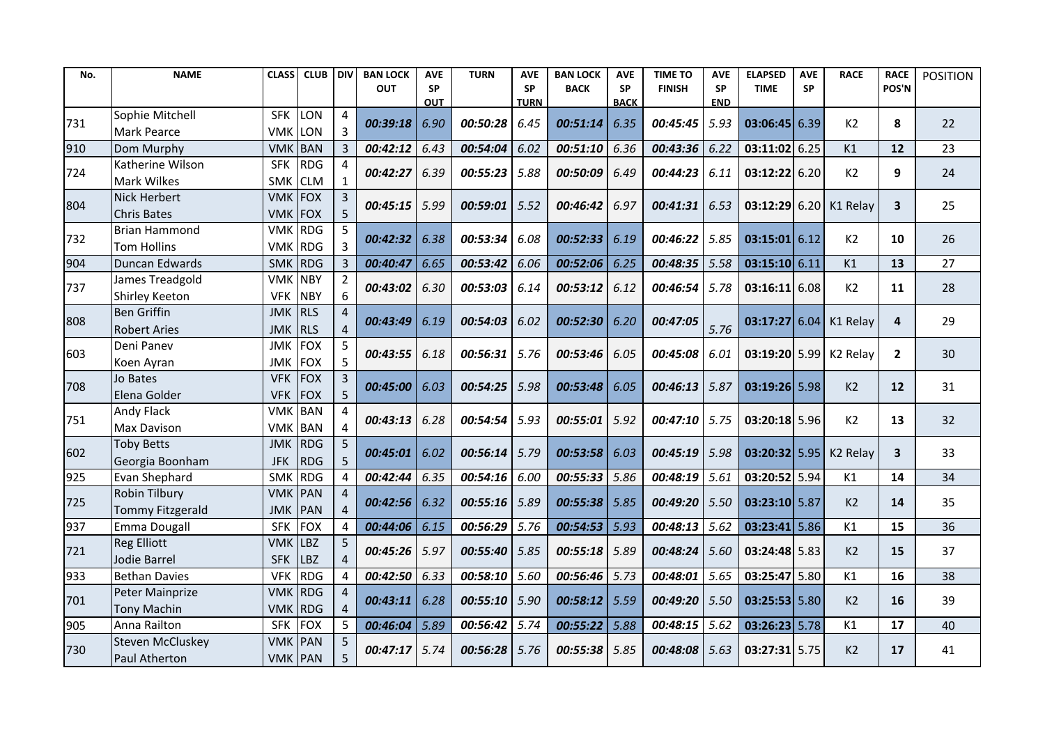| No. | <b>NAME</b>           | <b>CLASS</b>   | <b>CLUB</b> | <b>DIV</b>     | <b>BAN LOCK</b> | <b>AVE</b> | <b>TURN</b>     | <b>AVE</b>  | <b>BAN LOCK</b> | <b>AVE</b>  | <b>TIME TO</b>  | <b>AVE</b> | <b>ELAPSED</b>  | <b>AVE</b> | <b>RACE</b>            | <b>RACE</b>             | <b>POSITION</b> |
|-----|-----------------------|----------------|-------------|----------------|-----------------|------------|-----------------|-------------|-----------------|-------------|-----------------|------------|-----------------|------------|------------------------|-------------------------|-----------------|
|     |                       |                |             |                | <b>OUT</b>      | <b>SP</b>  |                 | <b>SP</b>   | <b>BACK</b>     | <b>SP</b>   | <b>FINISH</b>   | <b>SP</b>  | <b>TIME</b>     | <b>SP</b>  |                        | POS'N                   |                 |
|     | Sophie Mitchell       | <b>SFK</b>     |             | 4              |                 | <b>OUT</b> |                 | <b>TURN</b> |                 | <b>BACK</b> |                 | <b>END</b> |                 |            |                        |                         |                 |
| 731 |                       |                | <b>LON</b>  |                | 00:39:18        | 6.90       | 00:50:28        | 6.45        | 00:51:14        | 6.35        | 00:45:45        | 5.93       | $03:06:45$ 6.39 |            | K2                     | 8                       | 22              |
|     | <b>Mark Pearce</b>    | VMK            | LON         | $\overline{3}$ |                 |            |                 |             |                 |             |                 |            |                 |            |                        |                         |                 |
| 910 | Dom Murphy            | <b>VMK</b>     | <b>BAN</b>  | 3              | 00:42:12        | 6.43       | 00:54:04        | 6.02        | 00:51:10        | 6.36        | 00:43:36        | 6.22       | 03:11:02 6.25   |            | K1                     | 12                      | 23              |
| 724 | Katherine Wilson      | <b>SFK</b>     | <b>RDG</b>  | 4              | 00:42:27        | 6.39       | 00:55:23        | 5.88        | 00:50:09        | 6.49        | 00:44:23        | 6.11       | 03:12:22 6.20   |            | K2                     | 9                       | 24              |
|     | <b>Mark Wilkes</b>    | <b>SMK</b>     | <b>CLM</b>  | $\mathbf{1}$   |                 |            |                 |             |                 |             |                 |            |                 |            |                        |                         |                 |
| 804 | Nick Herbert          | VMK FOX        |             | 3              | 00:45:15        | 5.99       | $00:59:01$ 5.52 |             | 00:46:42        | 6.97        | 00:41:31        | 6.53       |                 |            | 03:12:29 6.20 K1 Relay | $\mathbf{3}$            | 25              |
|     | <b>Chris Bates</b>    | <b>VMK</b>     | FOX         | 5              |                 |            |                 |             |                 |             |                 |            |                 |            |                        |                         |                 |
| 732 | <b>Brian Hammond</b>  | <b>VMK</b>     | <b>RDG</b>  | 5              | 00:42:32        | 6.38       | 00:53:34        | 6.08        | 00:52:33        | 6.19        | 00:46:22        | 5.85       | $03:15:01$ 6.12 |            | K2                     | 10                      | 26              |
|     | Tom Hollins           | VMK            | <b>RDG</b>  | $\overline{3}$ |                 |            |                 |             |                 |             |                 |            |                 |            |                        |                         |                 |
| 904 | Duncan Edwards        | <b>SMK</b>     | RDG         | 3              | 00:40:47        | 6.65       | 00:53:42        | 6.06        | 00:52:06        | 6.25        | 00:48:35        | 5.58       | 03:15:1066.11   |            | K1                     | 13                      | 27              |
| 737 | James Treadgold       | <b>VMK</b>     | <b>NBY</b>  | $\overline{2}$ | 00:43:02        | 6.30       | 00:53:03        | 6.14        | 00:53:12        | 6.12        | 00:46:54        | 5.78       | 03:16:116.08    |            | K2                     | 11                      | 28              |
|     | <b>Shirley Keeton</b> | <b>VFK</b>     | <b>NBY</b>  | 6              |                 |            |                 |             |                 |             |                 |            |                 |            |                        |                         |                 |
|     | <b>Ben Griffin</b>    | <b>JMK</b>     | <b>RLS</b>  | 4              | 00:43:49        | 6.19       | 00:54:03        | 6.02        | 00:52:30        | 6.20        | 00:47:05        |            |                 |            | 03:17:27 6.04 K1 Relay | $\overline{\mathbf{4}}$ | 29              |
| 808 | <b>Robert Aries</b>   | <b>JMK</b>     | RLS         | $\overline{4}$ |                 |            |                 |             |                 |             |                 | 5.76       |                 |            |                        |                         |                 |
|     | Deni Panev            | <b>JMK</b>     | <b>FOX</b>  | 5              | 00:43:55        |            | 00:56:31        | 5.76        | 00:53:46        | 6.05        | 00:45:08        | 6.01       |                 |            |                        |                         | 30              |
| 603 | Koen Ayran            | JMK            | <b>FOX</b>  | 5              |                 | 6.18       |                 |             |                 |             |                 |            |                 |            | 03:19:20 5.99 K2 Relay | $\mathbf{2}$            |                 |
|     | Jo Bates              | <b>VFK</b>     | FOX         | 3              | 00:45:00        |            |                 |             | 00:53:48        | 6.05        |                 |            |                 |            | K2                     |                         | 31              |
| 708 | Elena Golder          | <b>VFK</b>     | <b>FOX</b>  | 5              |                 | 6.03       | $00:54:25$ 5.98 |             |                 |             | $00:46:13$ 5.87 |            | $03:19:26$ 5.98 |            |                        | 12                      |                 |
|     | <b>Andy Flack</b>     | <b>VMK BAN</b> |             |                |                 |            |                 |             |                 |             |                 |            |                 |            |                        |                         |                 |
| 751 | <b>Max Davison</b>    | <b>VMK BAN</b> |             | 4              | 00:43:13        | 6.28       | 00:54:54        | 5.93        | 00:55:01        | 5.92        | 00:47:10        | 5.75       | 03:20:18 5.96   |            | K2                     | 13                      | 32              |
|     | <b>Toby Betts</b>     | <b>JMK</b>     | RDG         | 5              |                 |            |                 |             |                 |             |                 |            |                 |            |                        |                         |                 |
| 602 | Georgia Boonham       | <b>JFK</b>     | RDG         | 5              | 00:45:01        | 6.02       | $00:56:14$ 5.79 |             | 00:53:58        | 6.03        | $00:45:19$ 5.98 |            | $03:20:32$ 5.95 |            | K <sub>2</sub> Relay   | $\mathbf{3}$            | 33              |
| 925 | Evan Shephard         | <b>SMK</b>     | <b>RDG</b>  | 4              | 00:42:44        | 6.35       | 00:54:16        | 6.00        | 00:55:33        | 5.86        | 00:48:19        | 5.61       | 03:20:52 5.94   |            | K1                     | 14                      | 34              |
|     | <b>Robin Tilbury</b>  | <b>VMK PAN</b> |             |                |                 |            |                 |             |                 |             |                 |            |                 |            |                        |                         |                 |
| 725 | Tommy Fitzgerald      | JMK            | PAN         | $\overline{4}$ | 00:42:56        | 6.32       | $00:55:16$ 5.89 |             | 00:55:38        | 5.85        | 00:49:20        | 5.50       | 03:23:10 5.87   |            | K <sub>2</sub>         | 14                      | 35              |
| 937 | Emma Dougall          | <b>SFK</b>     | <b>FOX</b>  | 4              | 00:44:06        | 6.15       | 00:56:29        | 5.76        | 00:54:53        | 5.93        | 00:48:13        | 5.62       | $03:23:41$ 5.86 |            | K1                     | 15                      | 36              |
|     | <b>Reg Elliott</b>    | <b>VMK</b>     | LBZ         | 5              |                 |            |                 |             |                 |             |                 |            |                 |            |                        |                         |                 |
| 721 | Jodie Barrel          | <b>SFK</b>     | <b>LBZ</b>  | $\overline{4}$ | 00:45:26        | 5.97       | 00:55:40 5.85   |             | 00:55:18        | 5.89        | 00:48:24        | 5.60       | $03:24:48$ 5.83 |            | K2                     | 15                      | 37              |
| 933 | <b>Bethan Davies</b>  | <b>VFK</b>     | <b>RDG</b>  | 4              | 00:42:50        | 6.33       | 00:58:10 5.60   |             | 00:56:46        | 5.73        | 00:48:01        | 5.65       | 03:25:47 5.80   |            | K1                     | 16                      | 38              |
|     | Peter Mainprize       | <b>VMK RDG</b> |             |                |                 |            |                 |             |                 |             |                 |            |                 |            |                        |                         |                 |
| 701 | Tony Machin           | VMK            | RDG         | $\overline{4}$ | 00:43:11        | 6.28       | $00:55:10$ 5.90 |             | 00:58:12        | 5.59        | 00:49:20        | 5.50       | $03:25:53$ 5.80 |            | K <sub>2</sub>         | 16                      | 39              |
| 905 | Anna Railton          | <b>SFK</b>     | <b>FOX</b>  | 5              | 00:46:04        | 5.89       | 00:56:42        | 5.74        | 00:55:22        | 5.88        | 00:48:15        | 5.62       | $03:26:23$ 5.78 |            | K1                     | 17                      | 40              |
|     | Steven McCluskey      | <b>VMK PAN</b> |             | 5              |                 |            |                 |             |                 |             |                 |            |                 |            |                        |                         |                 |
| 730 | Paul Atherton         | <b>VMK PAN</b> |             |                | 00:47:17        | 5.74       | $00:56:28$ 5.76 |             | 00:55:38        | 5.85        | 00:48:08        | 5.63       | $03:27:31$ 5.75 |            | K <sub>2</sub>         | 17                      | 41              |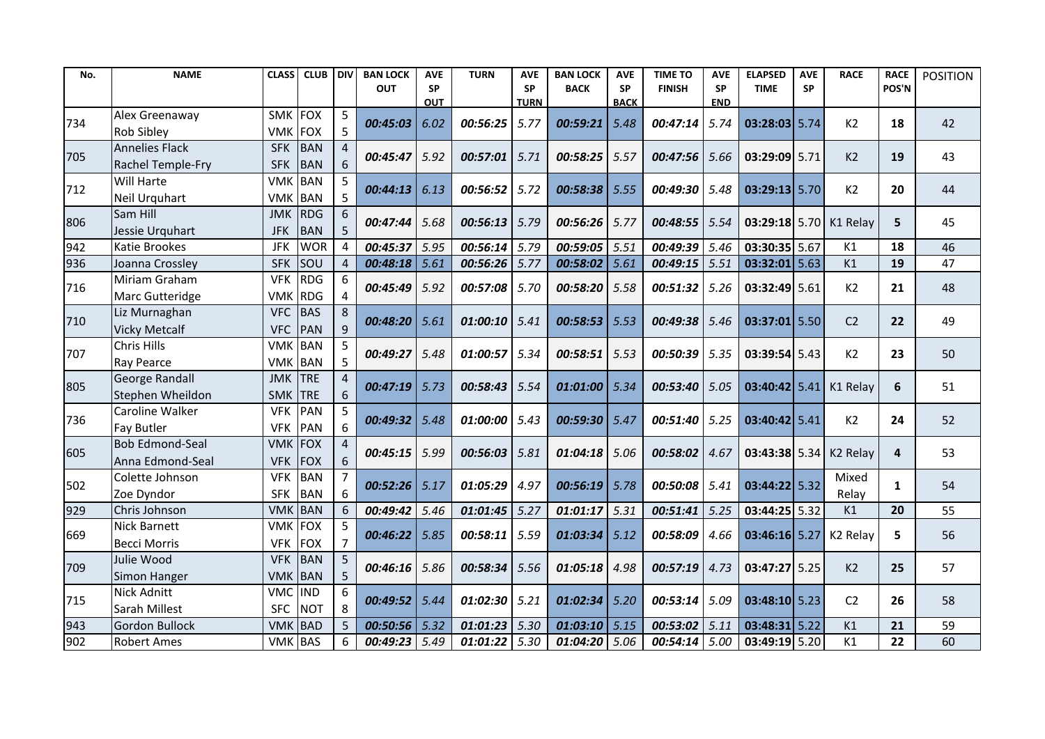| No. | <b>NAME</b>                         | <b>CLASS</b>             | <b>CLUB</b>              | l div          | <b>BAN LOCK</b> | <b>AVE</b> | <b>TURN</b>     | <b>AVE</b>  | <b>BAN LOCK</b> | <b>AVE</b>  | <b>TIME TO</b>  | <b>AVE</b> | <b>ELAPSED</b>  | <b>AVE</b> | <b>RACE</b>          | <b>RACE</b>  | <b>POSITION</b> |
|-----|-------------------------------------|--------------------------|--------------------------|----------------|-----------------|------------|-----------------|-------------|-----------------|-------------|-----------------|------------|-----------------|------------|----------------------|--------------|-----------------|
|     |                                     |                          |                          |                | <b>OUT</b>      | SP         |                 | <b>SP</b>   | <b>BACK</b>     | <b>SP</b>   | <b>FINISH</b>   | <b>SP</b>  | <b>TIME</b>     | <b>SP</b>  |                      | POS'N        |                 |
|     | Alex Greenaway                      | <b>SMK</b>               | FOX                      | 5              |                 | <b>OUT</b> |                 | <b>TURN</b> |                 | <b>BACK</b> |                 | <b>END</b> |                 |            |                      |              |                 |
| 734 |                                     |                          |                          | 5              | 00:45:03        | 6.02       | 00:56:25        | 5.77        | 00:59:21        | 5.48        | 00:47:14        | 5.74       | $03:28:03$ 5.74 |            | K2                   | 18           | 42              |
|     | <b>Rob Sibley</b><br>Annelies Flack | <b>VMK</b><br><b>SFK</b> | <b>FOX</b><br><b>BAN</b> | 4              |                 |            |                 |             |                 |             |                 |            |                 |            |                      |              |                 |
| 705 |                                     |                          |                          |                | 00:45:47        | 5.92       | 00:57:01        | 5.71        | 00:58:25        | 5.57        | 00:47:56        | 5.66       | 03:29:09 5.71   |            | K2                   | 19           | 43              |
|     | Rachel Temple-Fry<br>Will Harte     | <b>SFK</b><br><b>VMK</b> | <b>BAN</b><br><b>BAN</b> | 6<br>5         |                 |            |                 |             |                 |             |                 |            |                 |            |                      |              |                 |
| 712 |                                     |                          |                          |                | 00:44:13        | 6.13       | $00:56:52$ 5.72 |             | 00:58:38        | 5.55        | 00:49:30        | 5.48       | $03:29:13$ 5.70 |            | K2                   | 20           | 44              |
|     | Neil Urquhart<br>Sam Hill           | <b>VMK BAN</b>           | RDG                      | 5              |                 |            |                 |             |                 |             |                 |            |                 |            |                      |              |                 |
| 806 |                                     | <b>JMK</b>               |                          | 6              | 00:47:44        | 5.68       | 00:56:13 5.79   |             | 00:56:26        | 5.77        | $00:48:55$ 5.54 |            | $03:29:18$ 5.70 |            | K1 Relay             | 5            | 45              |
|     | Jessie Urquhart                     | <b>JFK</b>               | <b>BAN</b>               | 5              |                 |            |                 |             |                 |             |                 |            |                 |            |                      |              |                 |
| 942 | Katie Brookes                       | <b>JFK</b>               | <b>WOR</b>               | 4              | 00:45:37        | 5.95       | $00:56:14$ 5.79 |             | 00:59:05        | 5.51        | 00:49:39        | 5.46       | 03:30:35 5.67   |            | K1                   | 18           | 46              |
| 936 | Joanna Crossley                     | <b>SFK</b>               | <b>SOU</b>               | 4              | 00:48:18        | 5.61       | 00:56:26        | 5.77        | 00:58:02        | 5.61        | 00:49:15        | 5.51       | $03:32:01$ 5.63 |            | K1                   | 19           | 47              |
| 716 | Miriam Graham                       | <b>VFK</b>               | <b>RDG</b>               | 6              | 00:45:49        | 5.92       | 00:57:08 5.70   |             | 00:58:20        | 5.58        | 00:51:32        | 5.26       | 03:32:49 5.61   |            | K2                   | 21           | 48              |
|     | Marc Gutteridge                     | <b>VMK</b>               | <b>RDG</b>               |                |                 |            |                 |             |                 |             |                 |            |                 |            |                      |              |                 |
| 710 | Liz Murnaghan                       | <b>VFC</b>               | <b>BAS</b>               | 8              | 00:48:20        | 5.61       | 01:00:10        | 5.41        | 00:58:53        | 5.53        | 00:49:38        | 5.46       | $03:37:01$ 5.50 |            | C <sub>2</sub>       | 22           | 49              |
|     | <b>Vicky Metcalf</b>                | <b>VFC</b>               | PAN                      | 9              |                 |            |                 |             |                 |             |                 |            |                 |            |                      |              |                 |
| 707 | Chris Hills                         | <b>VMK</b>               | <b>BAN</b>               |                | 00:49:27        | 5.48       | 01:00:57        | 5.34        | 00:58:51        | 5.53        | 00:50:39        | 5.35       | $03:39:54$ 5.43 |            | K <sub>2</sub>       | 23           | 50              |
|     | Ray Pearce                          | <b>VMK BAN</b>           |                          | 5              |                 |            |                 |             |                 |             |                 |            |                 |            |                      |              |                 |
| 805 | <b>George Randall</b>               | <b>JMK</b>               | <b>TRE</b>               |                | $00:47:19$ 5.73 |            | $00:58:43$ 5.54 |             | 01:01:00        | 5.34        | 00:53:40        | 5.05       | $03:40:42$ 5.41 |            | K1 Relay             | 6            | 51              |
|     | Stephen Wheildon                    | <b>SMK</b>               | <b>TRE</b>               | 6              |                 |            |                 |             |                 |             |                 |            |                 |            |                      |              |                 |
| 736 | Caroline Walker                     | <b>VFK</b>               | <b>PAN</b>               | 5              | 00:49:32        | 5.48       | $01:00:00$ 5.43 |             | 00:59:30        | 5.47        | 00:51:40        | 5.25       | $03:40:42$ 5.41 |            | K2                   | 24           | 52              |
|     | Fay Butler                          | <b>VFK</b>               | <b>PAN</b>               | 6              |                 |            |                 |             |                 |             |                 |            |                 |            |                      |              |                 |
| 605 | <b>Bob Edmond-Seal</b>              | <b>VMK</b>               | <b>FOX</b>               | 4              | 00:45:15        | 5.99       | 00:56:03        | 5.81        | 01:04:18        | 5.06        | 00:58:02        | 4.67       | 03:43:38 5.34   |            | K <sub>2</sub> Relay | 4            | 53              |
|     | Anna Edmond-Seal                    | <b>VFK</b>               | <b>FOX</b>               | 6              |                 |            |                 |             |                 |             |                 |            |                 |            |                      |              |                 |
| 502 | Colette Johnson                     | <b>VFK</b>               | <b>BAN</b>               |                | 00:52:26        | 5.17       | $01:05:29$ 4.97 |             | 00:56:19        | 5.78        | 00:50:08        | 5.41       | 03:44:22 5.32   |            | Mixed                | $\mathbf{1}$ | 54              |
|     | Zoe Dyndor                          | <b>SFK</b>               | <b>BAN</b>               | 6              |                 |            |                 |             |                 |             |                 |            |                 |            | Relay                |              |                 |
| 929 | Chris Johnson                       | <b>VMK</b>               | BAN                      | 6              | 00:49:42        | 5.46       | 01:01:45        | 5.27        | 01:01:17        | 5.31        | 00:51:41        | 5.25       | 03:44:25 5.32   |            | K1                   | 20           | 55              |
| 669 | <b>Nick Barnett</b>                 | <b>VMK</b>               | <b>FOX</b>               |                | $00:46:22$ 5.85 |            | 00:58:11        | 5.59        | 01:03:34        | 5.12        | 00:58:09        | 4.66       | $03:46:16$ 5.27 |            | K <sub>2</sub> Relay | 5            | 56              |
|     | <b>Becci Morris</b>                 | <b>VFK</b>               | <b>FOX</b>               | $\overline{7}$ |                 |            |                 |             |                 |             |                 |            |                 |            |                      |              |                 |
| 709 | Julie Wood                          | <b>VFK</b>               | <b>BAN</b>               |                | 00:46:16        | 5.86       | 00:58:34        | 5.56        | 01:05:18        | 4.98        |                 |            | $03:47:27$ 5.25 |            | K <sub>2</sub>       | 25           | 57              |
|     | Simon Hanger                        | <b>VMK</b>               | <b>BAN</b>               |                |                 |            |                 |             |                 |             | 00:57:19        | 4.73       |                 |            |                      |              |                 |
|     | Nick Adnitt                         | <b>VMC</b>               | <b>IND</b>               | 6              |                 |            |                 |             |                 |             |                 |            |                 |            |                      |              |                 |
| 715 | Sarah Millest                       | <b>SFC</b>               | <b>NOT</b>               | 8              | 00:49:52        | 5.44       | $01:02:30$ 5.21 |             | 01:02:34        | 5.20        | 00:53:14        | 5.09       | $03:48:10$ 5.23 |            | C <sub>2</sub>       | 26           | 58              |
| 943 | <b>Gordon Bullock</b>               | <b>VMK</b>               | <b>BAD</b>               | $5^{\circ}$    | 00:50:56 5.32   |            | $01:01:23$ 5.30 |             | 01:03:10        | 5.15        | 00:53:02        | 5.11       | $03:48:31$ 5.22 |            | K1                   | 21           | 59              |
| 902 | <b>Robert Ames</b>                  | <b>VMK BAS</b>           |                          | 6              | 00:49:23 5.49   |            | $01:01:22$ 5.30 |             | 01:04:20        | 5.06        | $00:54:14$ 5.00 |            | $03:49:19$ 5.20 |            | K1                   | 22           | 60              |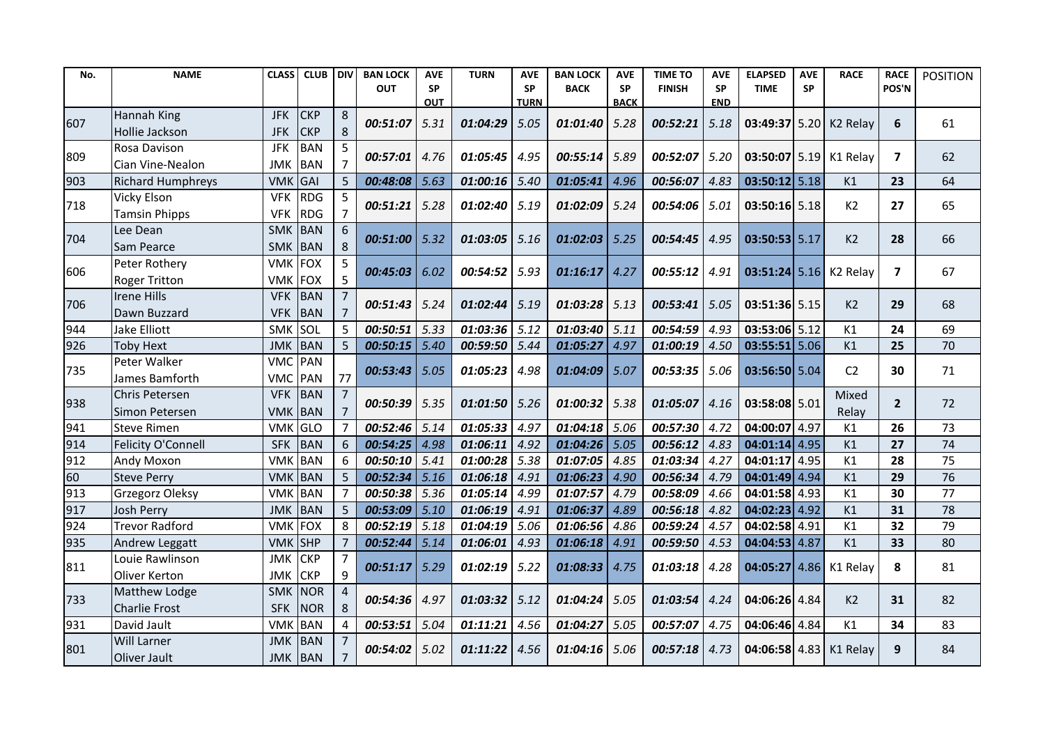| No. | <b>NAME</b>              | <b>CLASS</b>   | <b>CLUB</b> | <b>DIV</b>     | <b>BAN LOCK</b> | <b>AVE</b> | <b>TURN</b>     | <b>AVE</b>  | <b>BAN LOCK</b> | <b>AVE</b>  | <b>TIME TO</b> | <b>AVE</b> | <b>ELAPSED</b>  | <b>AVE</b> | <b>RACE</b>            | <b>RACE</b>    | <b>POSITION</b> |
|-----|--------------------------|----------------|-------------|----------------|-----------------|------------|-----------------|-------------|-----------------|-------------|----------------|------------|-----------------|------------|------------------------|----------------|-----------------|
|     |                          |                |             |                | <b>OUT</b>      | <b>SP</b>  |                 | <b>SP</b>   | <b>BACK</b>     | <b>SP</b>   | <b>FINISH</b>  | <b>SP</b>  | <b>TIME</b>     | <b>SP</b>  |                        | POS'N          |                 |
|     |                          |                |             |                |                 | <b>OUT</b> |                 | <b>TURN</b> |                 | <b>BACK</b> |                | <b>END</b> |                 |            |                        |                |                 |
| 607 | Hannah King              | <b>JFK</b>     | <b>CKP</b>  | 8              | 00:51:07        | 5.31       | 01:04:29        | 5.05        | 01:01:40        | 5.28        | 00:52:21       | 5.18       |                 |            | 03:49:37 5.20 K2 Relay | 6              | 61              |
|     | Hollie Jackson           | <b>JFK</b>     | <b>CKP</b>  | 8              |                 |            |                 |             |                 |             |                |            |                 |            |                        |                |                 |
| 809 | Rosa Davison             | <b>JFK</b>     | <b>BAN</b>  | 5              | 00:57:01        | 4.76       | 01:05:45        | 4.95        | 00:55:14        | 5.89        | 00:52:07       | 5.20       |                 |            | 03:50:07 5.19 K1 Relay | $\overline{7}$ | 62              |
|     | Cian Vine-Nealon         | JMK            | <b>BAN</b>  | $\overline{7}$ |                 |            |                 |             |                 |             |                |            |                 |            |                        |                |                 |
| 903 | <b>Richard Humphreys</b> | <b>VMK</b>     | GAI         | 5              | 00:48:08        | 5.63       | 01:00:16        | 5.40        | 01:05:41        | 4.96        | 00:56:07       | 4.83       | $03:50:12$ 5.18 |            | K1                     | 23             | 64              |
| 718 | <b>Vicky Elson</b>       | <b>VFK</b>     | <b>RDG</b>  | 5              | 00:51:21        | 5.28       | $01:02:40$ 5.19 |             | 01:02:09        | 5.24        | 00:54:06       | 5.01       | $03:50:16$ 5.18 |            | K2                     | 27             | 65              |
|     | <b>Tamsin Phipps</b>     | <b>VFK</b>     | <b>RDG</b>  | $\overline{7}$ |                 |            |                 |             |                 |             |                |            |                 |            |                        |                |                 |
| 704 | Lee Dean                 | <b>SMK</b>     | BAN         | 6              | 00:51:00        | 5.32       | 01:03:05        | 5.16        | 01:02:03        | 5.25        | 00:54:45       | 4.95       | 03:50:53 5.17   |            | K2                     | 28             | 66              |
|     | Sam Pearce               | <b>SMK</b>     | <b>BAN</b>  | 8              |                 |            |                 |             |                 |             |                |            |                 |            |                        |                |                 |
| 606 | Peter Rothery            | <b>VMK FOX</b> |             | 5              | 00:45:03        | 6.02       | 00:54:52        | 5.93        | 01:16:17        | 4.27        | 00:55:12       | 4.91       |                 |            | 03:51:24 5.16 K2 Relay | $\overline{ }$ | 67              |
|     | <b>Roger Tritton</b>     | <b>VMK</b>     | FOX         | 5              |                 |            |                 |             |                 |             |                |            |                 |            |                        |                |                 |
| 706 | <b>Irene Hills</b>       | <b>VFK</b>     | <b>BAN</b>  | $\overline{7}$ | 00:51:43        | 5.24       | $01:02:44$ 5.19 |             | 01:03:28        | 5.13        | 00:53:41       | 5.05       | 03:51:36 5.15   |            | K <sub>2</sub>         | 29             | 68              |
|     | Dawn Buzzard             | <b>VFK</b>     | BAN         | $\overline{7}$ |                 |            |                 |             |                 |             |                |            |                 |            |                        |                |                 |
| 944 | Jake Elliott             | SMK SOL        |             | 5              | 00:50:51        | 5.33       | 01:03:36        | 5.12        | 01:03:40        | 5.11        | 00:54:59       | 4.93       | 03:53:06 5.12   |            | K1                     | 24             | 69              |
| 926 | <b>Toby Hext</b>         | JMK BAN        |             | 5              | 00:50:15        | 5.40       | 00:59:50        | 5.44        | 01:05:27        | 4.97        | 01:00:19       | 4.50       | $03:55:51$ 5.06 |            | K1                     | 25             | 70              |
| 735 | Peter Walker             | VMC PAN        |             |                | 00:53:43        | 5.05       | 01:05:23        | 4.98        | 01:04:09        | 5.07        | 00:53:35       | 5.06       | $03:56:50$ 5.04 |            | C <sub>2</sub>         | 30             | 71              |
|     | James Bamforth           | VMC PAN        |             | 77             |                 |            |                 |             |                 |             |                |            |                 |            |                        |                |                 |
| 938 | Chris Petersen           | <b>VFK</b>     | BAN         |                | 00:50:39 5.35   |            | 01:01:50        | 5.26        | 01:00:32        | 5.38        | 01:05:07       | 4.16       | 03:58:08 5.01   |            | Mixed                  | 2 <sup>2</sup> | 72              |
|     | Simon Petersen           | VMK BAN        |             | $\overline{7}$ |                 |            |                 |             |                 |             |                |            |                 |            | Relay                  |                |                 |
| 941 | <b>Steve Rimen</b>       | <b>VMK</b>     | GLO         | 7              | 00:52:46        | 5.14       | 01:05:33        | 4.97        | 01:04:18        | 5.06        | 00:57:30       | 4.72       | 04:00:07 4.97   |            | K1                     | 26             | 73              |
| 914 | Felicity O'Connell       | <b>SFK</b>     | BAN         | 6              | 00:54:25        | 4.98       | 01:06:11        | 4.92        | 01:04:26        | 5.05        | 00:56:12       | 4.83       | $04:01:14$ 4.95 |            | K1                     | 27             | 74              |
| 912 | <b>Andy Moxon</b>        | <b>VMK</b>     | <b>BAN</b>  | 6              | 00:50:10        | 5.41       | 01:00:28        | 5.38        | 01:07:05        | 4.85        | 01:03:34       | 4.27       | $04:01:17$ 4.95 |            | K1                     | 28             | 75              |
| 60  | <b>Steve Perry</b>       | <b>VMK</b>     | BAN         | 5              | 00:52:34        | 5.16       | 01:06:18        | 4.91        | 01:06:23        | 4.90        | 00:56:34       | 4.79       | 04:01:49 4.94   |            | K1                     | 29             | 76              |
| 913 | Grzegorz Oleksy          | <b>VMK</b>     | <b>BAN</b>  | $\overline{7}$ | 00:50:38        | 5.36       | 01:05:14        | 4.99        | 01:07:57        | 4.79        | 00:58:09       | 4.66       | 04:01:58 4.93   |            | K1                     | 30             | 77              |
| 917 | <b>Josh Perry</b>        | <b>JMK</b>     | BAN         | 5              | 00:53:09        | 5.10       | 01:06:19        | 4.91        | 01:06:37        | 4.89        | 00:56:18       | 4.82       | $04:02:23$ 4.92 |            | K1                     | 31             | 78              |
| 924 | <b>Trevor Radford</b>    | VMK            | <b>FOX</b>  | 8              | 00:52:19        | 5.18       | 01:04:19        | 5.06        | 01:06:56        | 4.86        | 00:59:24       | 4.57       | 04:02:58 4.91   |            | K1                     | 32             | 79              |
| 935 | Andrew Leggatt           | <b>VMK</b>     | SHP         | $\overline{7}$ | 00:52:44        | 5.14       | 01:06:01        | 4.93        | 01:06:18        | 4.91        | 00:59:50       | 4.53       | $04:04:53$ 4.87 |            | K1                     | 33             | 80              |
|     | Louie Rawlinson          | JMK            | <b>CKP</b>  | 7              |                 |            |                 |             |                 |             |                |            |                 |            |                        |                |                 |
| 811 | Oliver Kerton            | JMK            | <b>CKP</b>  | 9              | 00:51:17        | 5.29       | 01:02:19        | 5.22        | 01:08:33        | 4.75        | 01:03:18       | 4.28       | $04:05:27$ 4.86 |            | K1 Relay               | 8              | 81              |
|     | Matthew Lodge            | <b>SMK</b>     | <b>NOR</b>  | 4              |                 |            |                 |             |                 |             |                |            |                 |            |                        |                |                 |
| 733 | Charlie Frost            | <b>SFK</b>     | <b>NOR</b>  | 8              | 00:54:36        | 4.97       | 01:03:32        | 5.12        | 01:04:24        | 5.05        | 01:03:54       | 4.24       | 04:06:26 4.84   |            | K2                     | 31             | 82              |
| 931 | David Jault              | <b>VMK</b>     | <b>BAN</b>  | 4              | 00:53:51        | 5.04       | 01:11:21        | 4.56        | 01:04:27        | 5.05        | 00:57:07       | 4.75       | 04:06:46 4.84   |            | K1                     | 34             | 83              |
|     | <b>Will Larner</b>       | <b>JMK</b>     | BAN         |                |                 |            |                 |             |                 |             |                |            |                 |            |                        |                |                 |
| 801 | Oliver Jault             | JMK BAN        |             |                | 00:54:02        | 5.02       | 01:11:22        | 4.56        | 01:04:16        | 5.06        | 00:57:18       | 4.73       |                 |            | 04:06:58 4.83 K1 Relay | 9              | 84              |